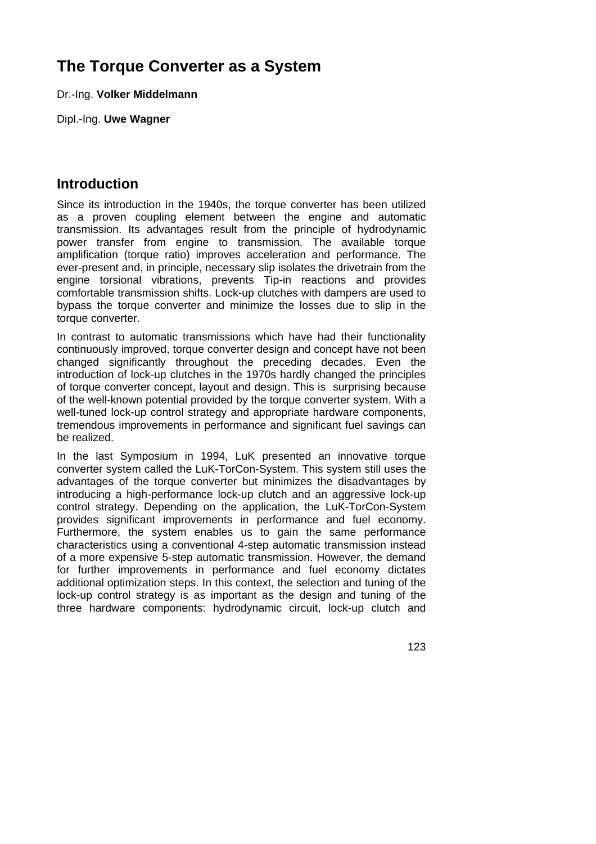# **The Torque Converter as a System**

Dr.-Ing. **Volker Middelmann**

Dipl.-Ing. **Uwe Wagner**

## **Introduction**

Since its introduction in the 1940s, the torque converter has been utilized as a proven coupling element between the engine and automatic transmission. Its advantages result from the principle of hydrodynamic power transfer from engine to transmission. The available torque amplification (torque ratio) improves acceleration and performance. The ever-present and, in principle, necessary slip isolates the drivetrain from the engine torsional vibrations, prevents Tip-in reactions and provides comfortable transmission shifts. Lock-up clutches with dampers are used to bypass the torque converter and minimize the losses due to slip in the torque converter.

In contrast to automatic transmissions which have had their functionality continuously improved, torque converter design and concept have not been changed significantly throughout the preceding decades. Even the introduction of lock-up clutches in the 1970s hardly changed the principles of torque converter concept, layout and design. This is surprising because of the well-known potential provided by the torque converter system. With a well-tuned lock-up control strategy and appropriate hardware components, tremendous improvements in performance and significant fuel savings can be realized.

In the last Symposium in 1994, LuK presented an innovative torque converter system called the LuK-TorCon-System. This system still uses the advantages of the torque converter but minimizes the disadvantages by introducing a high-performance lock-up clutch and an aggressive lock-up control strategy. Depending on the application, the LuK-TorCon-System provides significant improvements in performance and fuel economy. Furthermore, the system enables us to gain the same performance characteristics using a conventional 4-step automatic transmission instead of a more expensive 5-step automatic transmission. However, the demand for further improvements in performance and fuel economy dictates additional optimization steps. In this context, the selection and tuning of the lock-up control strategy is as important as the design and tuning of the three hardware components: hydrodynamic circuit, lock-up clutch and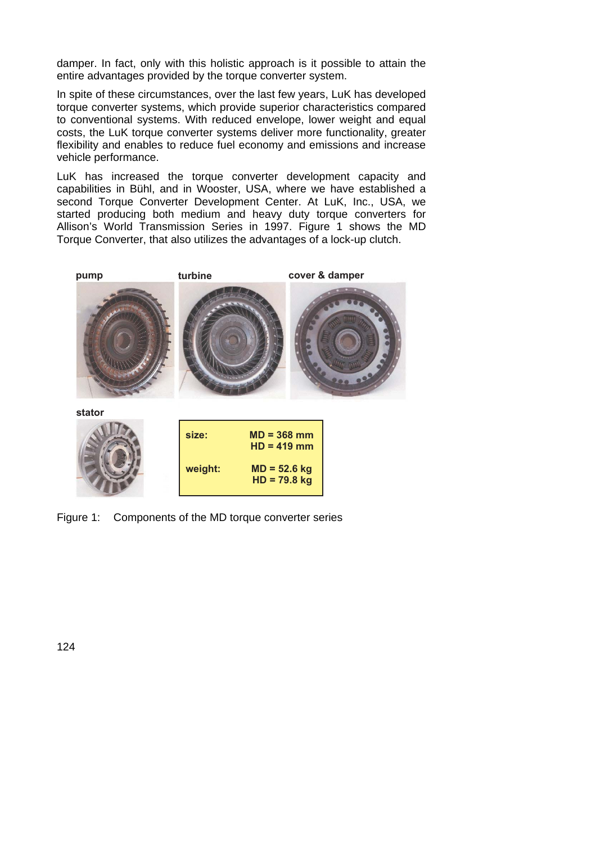damper. In fact, only with this holistic approach is it possible to attain the entire advantages provided by the torque converter system.

In spite of these circumstances, over the last few years, LuK has developed torque converter systems, which provide superior characteristics compared to conventional systems. With reduced envelope, lower weight and equal costs, the LuK torque converter systems deliver more functionality, greater flexibility and enables to reduce fuel economy and emissions and increase vehicle performance.

LuK has increased the torque converter development capacity and capabilities in Bühl, and in Wooster, USA, where we have established a second Torque Converter Development Center. At LuK, Inc., USA, we started producing both medium and heavy duty torque converters for Allison's World Transmission Series in 1997. Figure 1 shows the MD Torque Converter, that also utilizes the advantages of a lock-up clutch.



Figure 1: Components of the MD torque converter series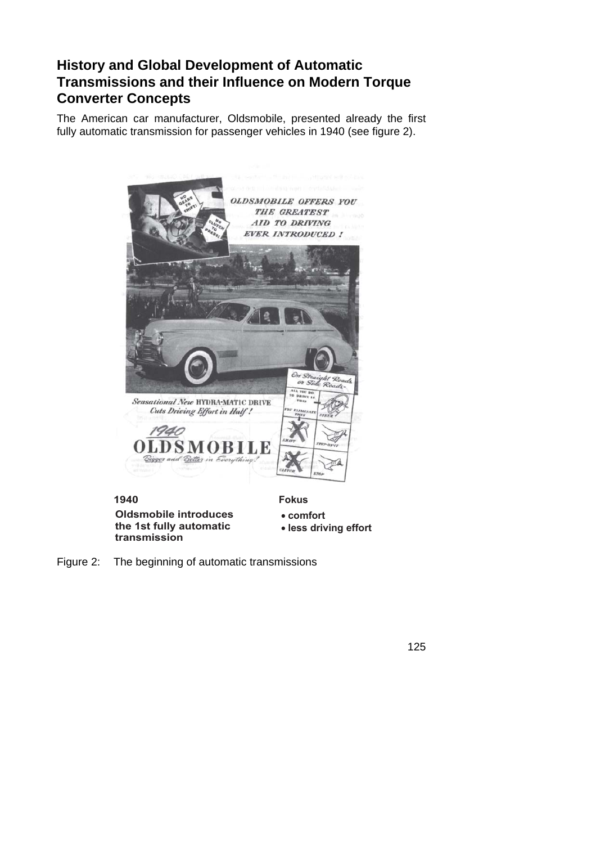# **History and Global Development of Automatic Transmissions and their Influence on Modern Torque Converter Concepts**

The American car manufacturer, Oldsmobile, presented already the first fully automatic transmission for passenger vehicles in 1940 (see figure 2).

| <b>HOR!</b><br>CLUTCH<br>$r_0$<br>ness<br>Sensational New HYDRA-MATIC DRIVE<br>Cuts Driving Effort in Half!<br>1940<br><b>OLDSMOBILE</b><br>Bigger and Better in Everything! | <b>OLDSMOBILE OFFERS YOU</b><br>THE GREATEST<br>AID TO DRIVING<br><b>EVER INTRODUCED !</b><br>On Straight Roads<br>or Side Roads-<br>ALL YOU DO<br>TO DRIVE IN<br><b>THEN</b><br>OU ELIMINATI<br>THIN<br>STEER<br>$S_{HIP}$<br>STEP-03-17<br>CLUTCH<br><b>STOP</b> |
|------------------------------------------------------------------------------------------------------------------------------------------------------------------------------|--------------------------------------------------------------------------------------------------------------------------------------------------------------------------------------------------------------------------------------------------------------------|
| 1940                                                                                                                                                                         | <b>Fokus</b>                                                                                                                                                                                                                                                       |
| <b>Oldsmobile introduces</b><br>the 1st fully automatic                                                                                                                      | • comfort<br>· less driving effort                                                                                                                                                                                                                                 |

**the 1st fully automati - - -**

Figure 2: The beginning of automatic transmissions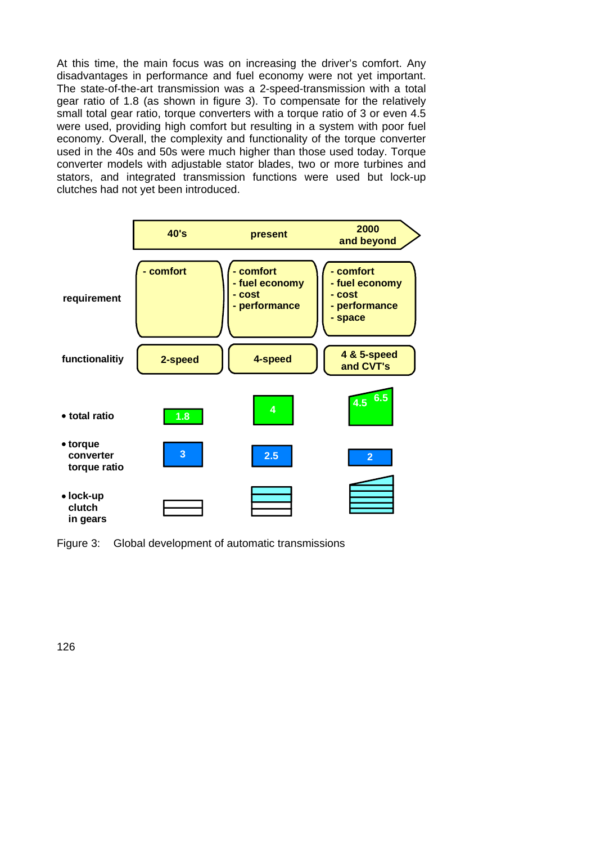At this time, the main focus was on increasing the driver's comfort. Any disadvantages in performance and fuel economy were not yet important. The state-of-the-art transmission was a 2-speed-transmission with a total gear ratio of 1.8 (as shown in figure 3). To compensate for the relatively small total gear ratio, torque converters with a torque ratio of 3 or even 4.5 were used, providing high comfort but resulting in a system with poor fuel economy. Overall, the complexity and functionality of the torque converter used in the 40s and 50s were much higher than those used today. Torque converter models with adjustable stator blades, two or more turbines and stators, and integrated transmission functions were used but lock-up clutches had not yet been introduced.



Figure 3: Global development of automatic transmissions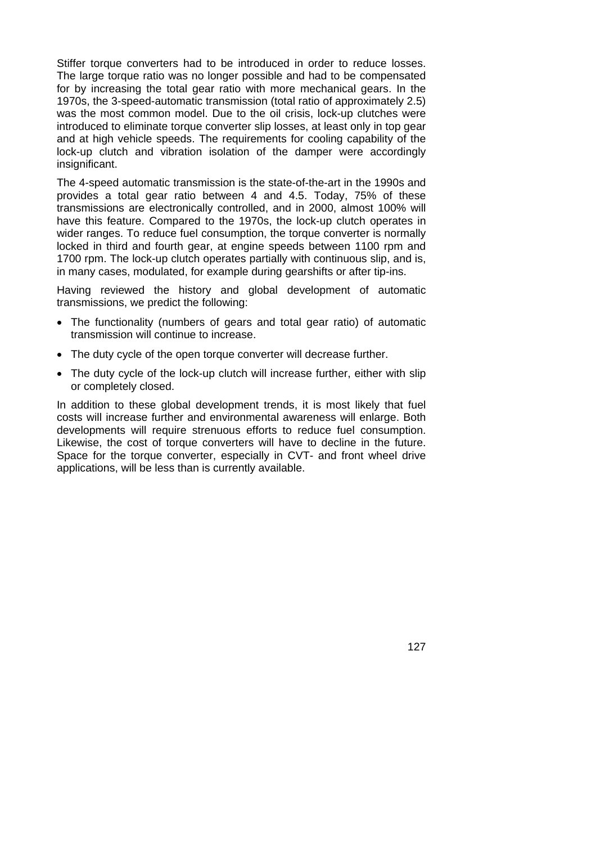Stiffer torque converters had to be introduced in order to reduce losses. The large torque ratio was no longer possible and had to be compensated for by increasing the total gear ratio with more mechanical gears. In the 1970s, the 3-speed-automatic transmission (total ratio of approximately 2.5) was the most common model. Due to the oil crisis, lock-up clutches were introduced to eliminate torque converter slip losses, at least only in top gear and at high vehicle speeds. The requirements for cooling capability of the lock-up clutch and vibration isolation of the damper were accordingly insignificant.

The 4-speed automatic transmission is the state-of-the-art in the 1990s and provides a total gear ratio between 4 and 4.5. Today, 75% of these transmissions are electronically controlled, and in 2000, almost 100% will have this feature. Compared to the 1970s, the lock-up clutch operates in wider ranges. To reduce fuel consumption, the torque converter is normally locked in third and fourth gear, at engine speeds between 1100 rpm and 1700 rpm. The lock-up clutch operates partially with continuous slip, and is, in many cases, modulated, for example during gearshifts or after tip-ins.

Having reviewed the history and global development of automatic transmissions, we predict the following:

- The functionality (numbers of gears and total gear ratio) of automatic transmission will continue to increase.
- The duty cycle of the open torque converter will decrease further.
- The duty cycle of the lock-up clutch will increase further, either with slip or completely closed.

In addition to these global development trends, it is most likely that fuel costs will increase further and environmental awareness will enlarge. Both developments will require strenuous efforts to reduce fuel consumption. Likewise, the cost of torque converters will have to decline in the future. Space for the torque converter, especially in CVT- and front wheel drive applications, will be less than is currently available.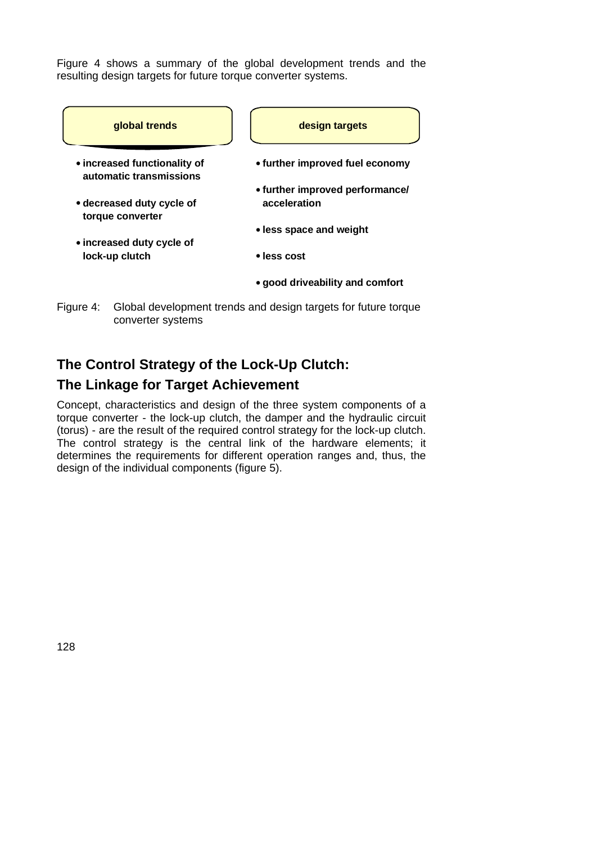Figure 4 shows a summary of the global development trends and the resulting design targets for future torque converter systems.



converter systems

# **The Control Strategy of the Lock-Up Clutch: The Linkage for Target Achievement**

Concept, characteristics and design of the three system components of a torque converter - the lock-up clutch, the damper and the hydraulic circuit (torus) - are the result of the required control strategy for the lock-up clutch. The control strategy is the central link of the hardware elements; it determines the requirements for different operation ranges and, thus, the design of the individual components (figure 5).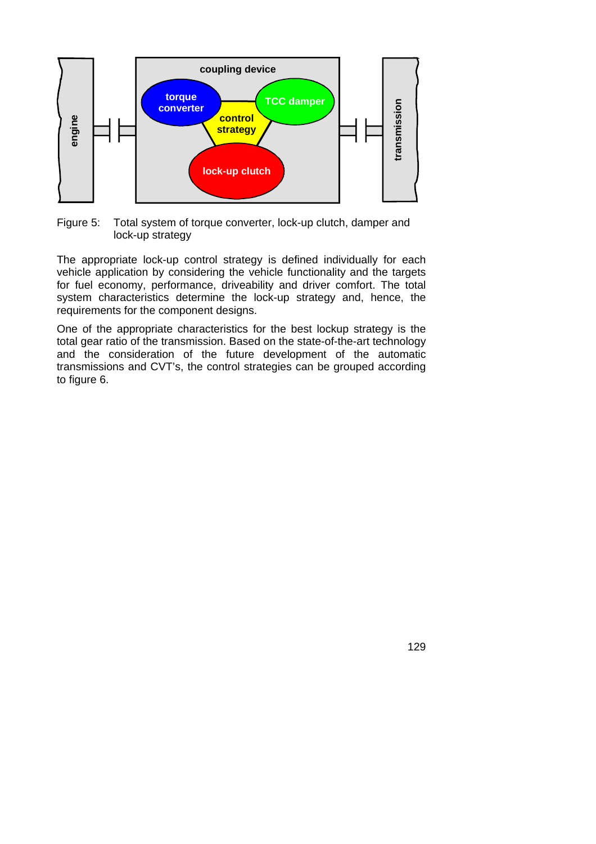

Figure 5: Total system of torque converter, lock-up clutch, damper and lock-up strategy

The appropriate lock-up control strategy is defined individually for each vehicle application by considering the vehicle functionality and the targets for fuel economy, performance, driveability and driver comfort. The total system characteristics determine the lock-up strategy and, hence, the requirements for the component designs.

One of the appropriate characteristics for the best lockup strategy is the total gear ratio of the transmission. Based on the state-of-the-art technology and the consideration of the future development of the automatic transmissions and CVT's, the control strategies can be grouped according to figure 6.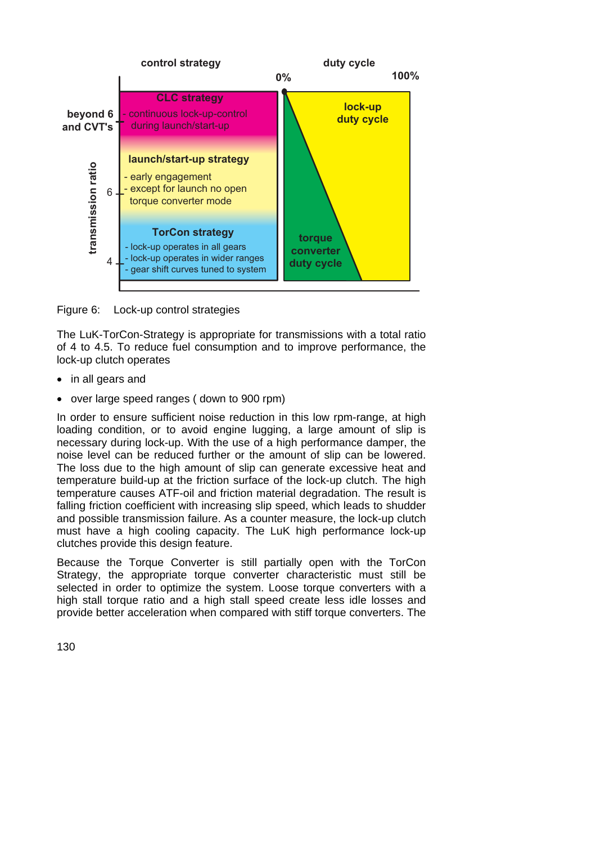

Figure 6: Lock-up control strategies

The LuK-TorCon-Strategy is appropriate for transmissions with a total ratio of 4 to 4.5. To reduce fuel consumption and to improve performance, the lock-up clutch operates

- in all gears and
- over large speed ranges ( down to 900 rpm)

In order to ensure sufficient noise reduction in this low rpm-range, at high loading condition, or to avoid engine lugging, a large amount of slip is necessary during lock-up. With the use of a high performance damper, the noise level can be reduced further or the amount of slip can be lowered. The loss due to the high amount of slip can generate excessive heat and temperature build-up at the friction surface of the lock-up clutch. The high temperature causes ATF-oil and friction material degradation. The result is falling friction coefficient with increasing slip speed, which leads to shudder and possible transmission failure. As a counter measure, the lock-up clutch must have a high cooling capacity. The LuK high performance lock-up clutches provide this design feature.

Because the Torque Converter is still partially open with the TorCon Strategy, the appropriate torque converter characteristic must still be selected in order to optimize the system. Loose torque converters with a high stall torque ratio and a high stall speed create less idle losses and provide better acceleration when compared with stiff torque converters. The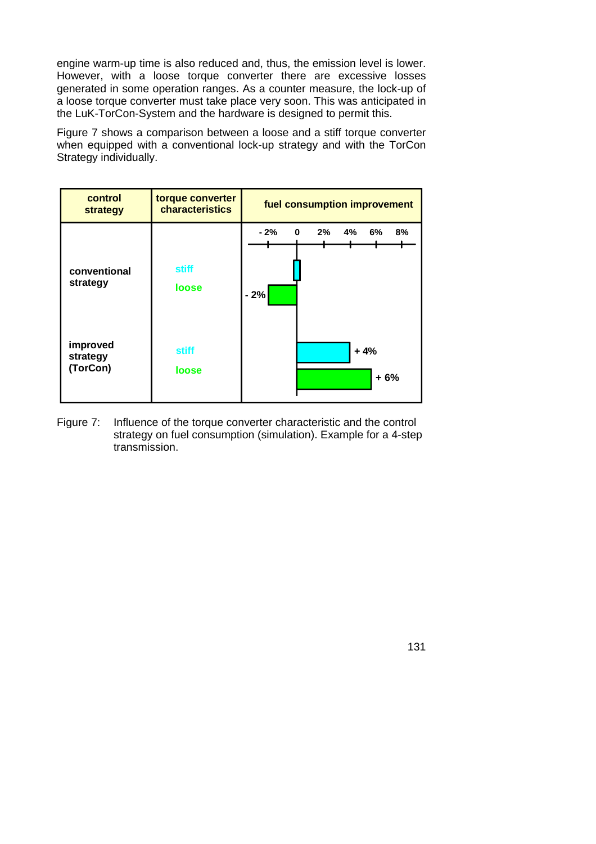engine warm-up time is also reduced and, thus, the emission level is lower. However, with a loose torque converter there are excessive losses generated in some operation ranges. As a counter measure, the lock-up of a loose torque converter must take place very soon. This was anticipated in the LuK-TorCon-System and the hardware is designed to permit this.

Figure 7 shows a comparison between a loose and a stiff torque converter when equipped with a conventional lock-up strategy and with the TorCon Strategy individually.

| control<br>strategy              | torque converter<br>characteristics | fuel consumption improvement               |
|----------------------------------|-------------------------------------|--------------------------------------------|
| conventional<br>strategy         | stiff<br>loose                      | 4%<br>0<br>6%<br>8%<br>- 2%<br>2%<br>$-2%$ |
| improved<br>strategy<br>(TorCon) | <b>stiff</b><br>loose               | $+4%$<br>$+6%$                             |

Figure 7: Influence of the torque converter characteristic and the control strategy on fuel consumption (simulation). Example for a 4-step transmission.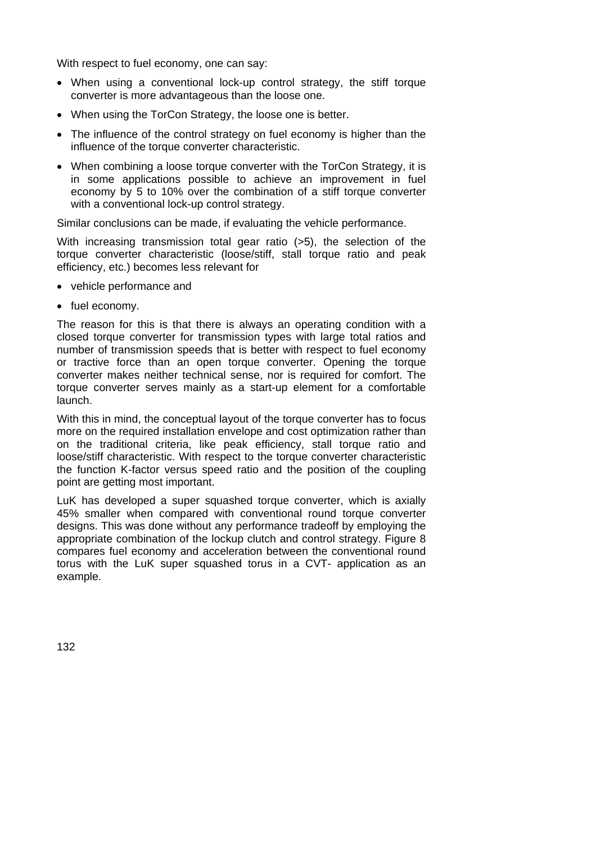With respect to fuel economy, one can say:

- When using a conventional lock-up control strategy, the stiff torque converter is more advantageous than the loose one.
- When using the TorCon Strategy, the loose one is better.
- The influence of the control strategy on fuel economy is higher than the influence of the torque converter characteristic.
- When combining a loose torque converter with the TorCon Strategy, it is in some applications possible to achieve an improvement in fuel economy by 5 to 10% over the combination of a stiff torque converter with a conventional lock-up control strategy.

Similar conclusions can be made, if evaluating the vehicle performance.

With increasing transmission total gear ratio (>5), the selection of the torque converter characteristic (loose/stiff, stall torque ratio and peak efficiency, etc.) becomes less relevant for

- vehicle performance and
- fuel economy.

The reason for this is that there is always an operating condition with a closed torque converter for transmission types with large total ratios and number of transmission speeds that is better with respect to fuel economy or tractive force than an open torque converter. Opening the torque converter makes neither technical sense, nor is required for comfort. The torque converter serves mainly as a start-up element for a comfortable launch.

With this in mind, the conceptual layout of the torque converter has to focus more on the required installation envelope and cost optimization rather than on the traditional criteria, like peak efficiency, stall torque ratio and loose/stiff characteristic. With respect to the torque converter characteristic the function K-factor versus speed ratio and the position of the coupling point are getting most important.

LuK has developed a super squashed torque converter, which is axially 45% smaller when compared with conventional round torque converter designs. This was done without any performance tradeoff by employing the appropriate combination of the lockup clutch and control strategy. Figure 8 compares fuel economy and acceleration between the conventional round torus with the LuK super squashed torus in a CVT- application as an example.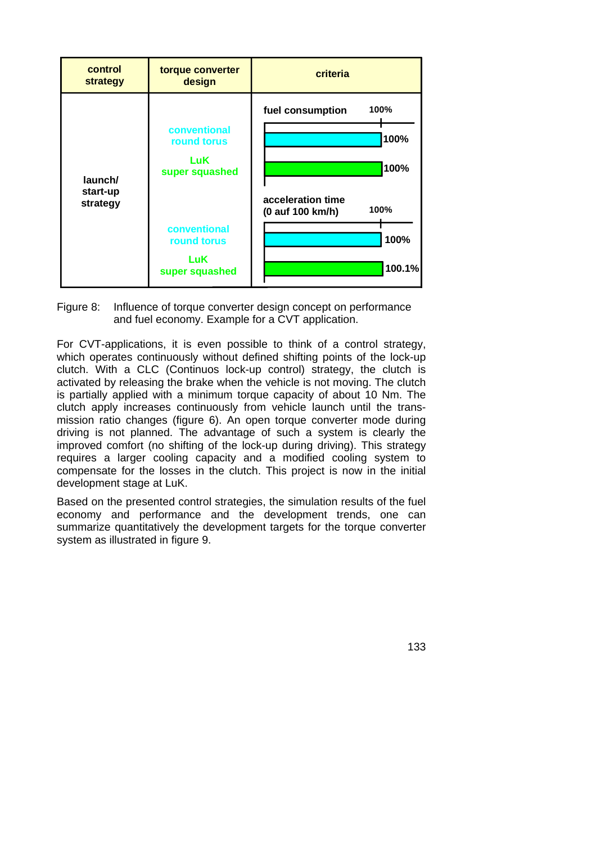

Figure 8: Influence of torque converter design concept on performance and fuel economy. Example for a CVT application.

For CVT-applications, it is even possible to think of a control strategy, which operates continuously without defined shifting points of the lock-up clutch. With a CLC (Continuos lock-up control) strategy, the clutch is activated by releasing the brake when the vehicle is not moving. The clutch is partially applied with a minimum torque capacity of about 10 Nm. The clutch apply increases continuously from vehicle launch until the transmission ratio changes (figure 6). An open torque converter mode during driving is not planned. The advantage of such a system is clearly the improved comfort (no shifting of the lock-up during driving). This strategy requires a larger cooling capacity and a modified cooling system to compensate for the losses in the clutch. This project is now in the initial development stage at LuK.

Based on the presented control strategies, the simulation results of the fuel economy and performance and the development trends, one can summarize quantitatively the development targets for the torque converter system as illustrated in figure 9.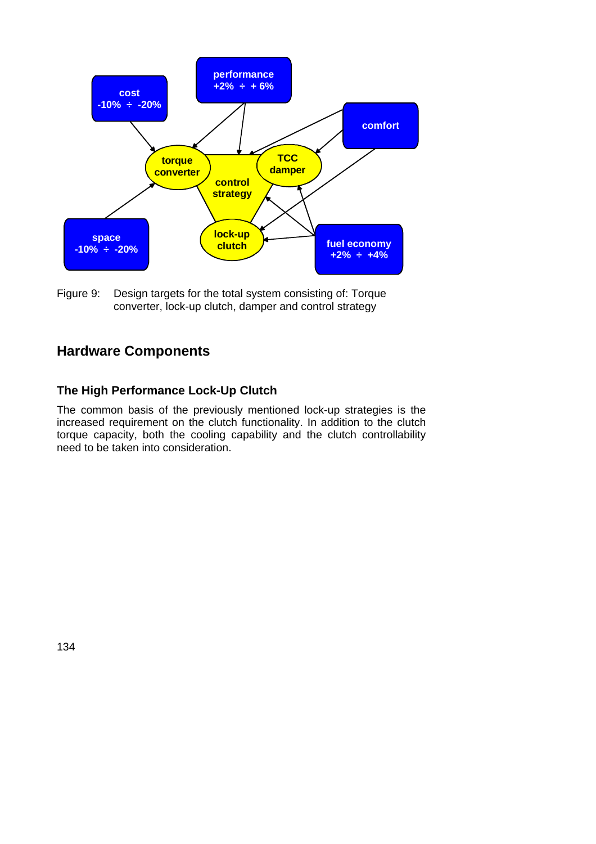

Figure 9: Design targets for the total system consisting of: Torque converter, lock-up clutch, damper and control strategy

# **Hardware Components**

### **The High Performance Lock-Up Clutch**

The common basis of the previously mentioned lock-up strategies is the increased requirement on the clutch functionality. In addition to the clutch torque capacity, both the cooling capability and the clutch controllability need to be taken into consideration.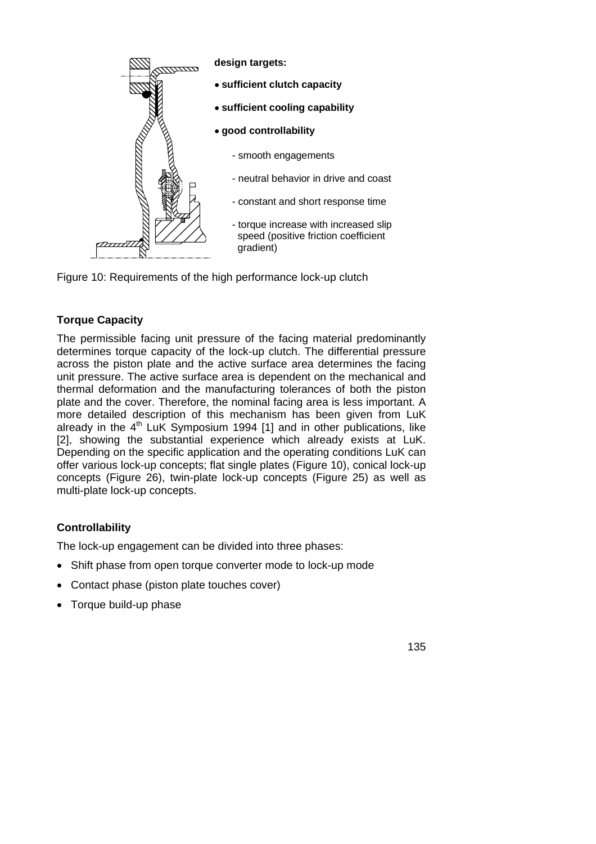



### **Torque Capacity**

The permissible facing unit pressure of the facing material predominantly determines torque capacity of the lock-up clutch. The differential pressure across the piston plate and the active surface area determines the facing unit pressure. The active surface area is dependent on the mechanical and thermal deformation and the manufacturing tolerances of both the piston plate and the cover. Therefore, the nominal facing area is less important. A more detailed description of this mechanism has been given from LuK already in the  $4<sup>th</sup>$  LuK Symposium 1994 [1] and in other publications, like [2], showing the substantial experience which already exists at LuK. Depending on the specific application and the operating conditions LuK can offer various lock-up concepts; flat single plates (Figure 10), conical lock-up concepts (Figure 26), twin-plate lock-up concepts (Figure 25) as well as multi-plate lock-up concepts.

### **Controllability**

The lock-up engagement can be divided into three phases:

- Shift phase from open torque converter mode to lock-up mode
- Contact phase (piston plate touches cover)
- Torque build-up phase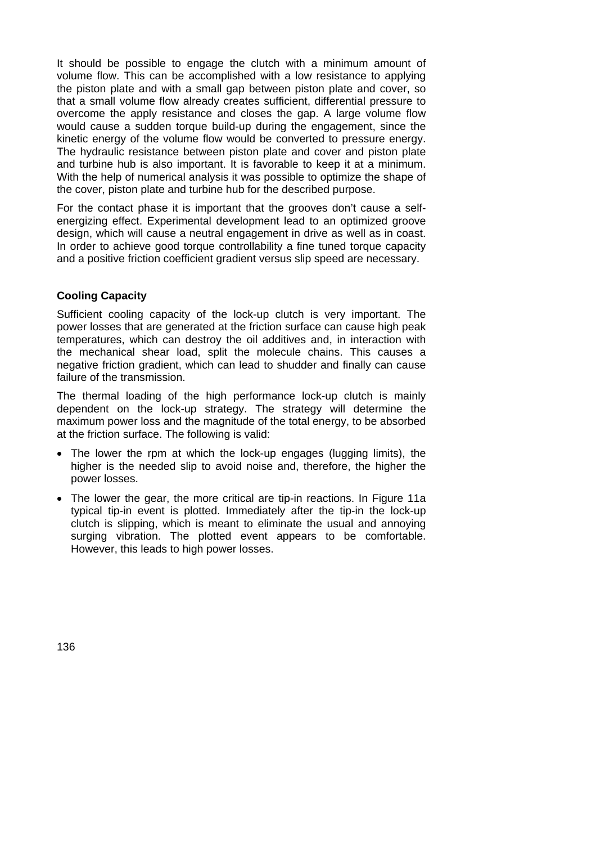It should be possible to engage the clutch with a minimum amount of volume flow. This can be accomplished with a low resistance to applying the piston plate and with a small gap between piston plate and cover, so that a small volume flow already creates sufficient, differential pressure to overcome the apply resistance and closes the gap. A large volume flow would cause a sudden torque build-up during the engagement, since the kinetic energy of the volume flow would be converted to pressure energy. The hydraulic resistance between piston plate and cover and piston plate and turbine hub is also important. It is favorable to keep it at a minimum. With the help of numerical analysis it was possible to optimize the shape of the cover, piston plate and turbine hub for the described purpose.

For the contact phase it is important that the grooves don't cause a selfenergizing effect. Experimental development lead to an optimized groove design, which will cause a neutral engagement in drive as well as in coast. In order to achieve good torque controllability a fine tuned torque capacity and a positive friction coefficient gradient versus slip speed are necessary.

#### **Cooling Capacity**

Sufficient cooling capacity of the lock-up clutch is very important. The power losses that are generated at the friction surface can cause high peak temperatures, which can destroy the oil additives and, in interaction with the mechanical shear load, split the molecule chains. This causes a negative friction gradient, which can lead to shudder and finally can cause failure of the transmission.

The thermal loading of the high performance lock-up clutch is mainly dependent on the lock-up strategy. The strategy will determine the maximum power loss and the magnitude of the total energy, to be absorbed at the friction surface. The following is valid:

- The lower the rpm at which the lock-up engages (lugging limits), the higher is the needed slip to avoid noise and, therefore, the higher the power losses.
- The lower the gear, the more critical are tip-in reactions. In Figure 11a typical tip-in event is plotted. Immediately after the tip-in the lock-up clutch is slipping, which is meant to eliminate the usual and annoying surging vibration. The plotted event appears to be comfortable. However, this leads to high power losses.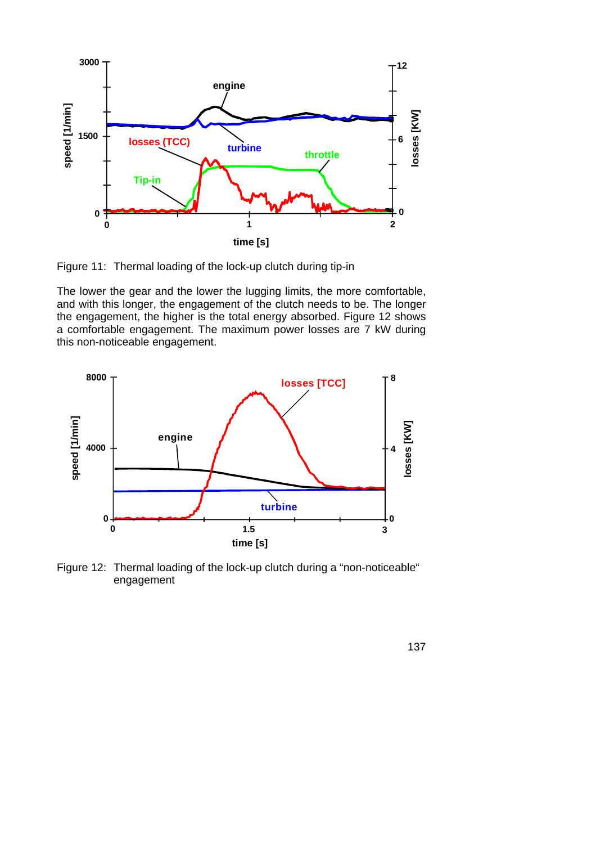

Figure 11: Thermal loading of the lock-up clutch during tip-in

The lower the gear and the lower the lugging limits, the more comfortable, and with this longer, the engagement of the clutch needs to be. The longer the engagement, the higher is the total energy absorbed. Figure 12 shows a comfortable engagement. The maximum power losses are 7 kW during this non-noticeable engagement.



Figure 12: Thermal loading of the lock-up clutch during a "non-noticeable" engagement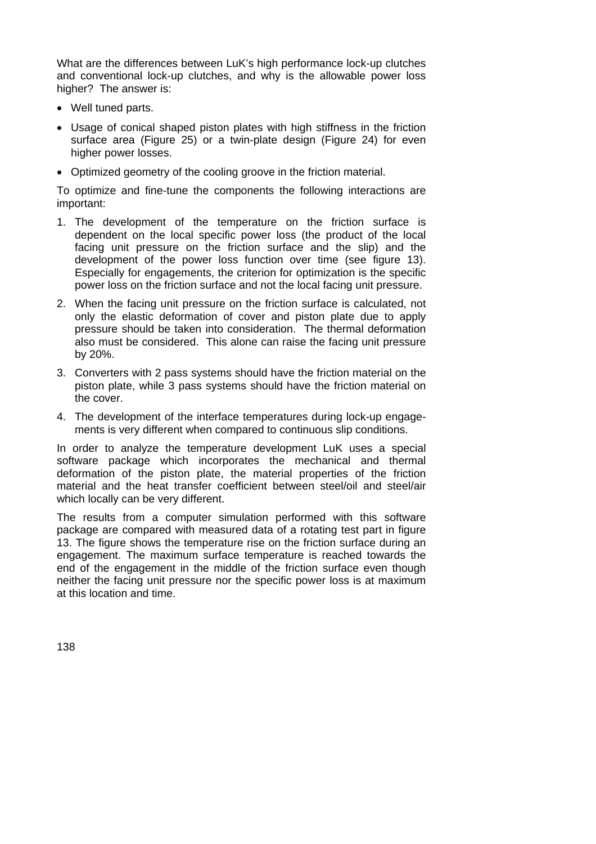What are the differences between LuK's high performance lock-up clutches and conventional lock-up clutches, and why is the allowable power loss higher? The answer is:

- Well tuned parts.
- Usage of conical shaped piston plates with high stiffness in the friction surface area (Figure 25) or a twin-plate design (Figure 24) for even higher power losses.
- Optimized geometry of the cooling groove in the friction material.

To optimize and fine-tune the components the following interactions are important:

- 1. The development of the temperature on the friction surface is dependent on the local specific power loss (the product of the local facing unit pressure on the friction surface and the slip) and the development of the power loss function over time (see figure 13). Especially for engagements, the criterion for optimization is the specific power loss on the friction surface and not the local facing unit pressure.
- 2. When the facing unit pressure on the friction surface is calculated, not only the elastic deformation of cover and piston plate due to apply pressure should be taken into consideration. The thermal deformation also must be considered. This alone can raise the facing unit pressure by 20%.
- 3. Converters with 2 pass systems should have the friction material on the piston plate, while 3 pass systems should have the friction material on the cover.
- 4. The development of the interface temperatures during lock-up engagements is very different when compared to continuous slip conditions.

In order to analyze the temperature development LuK uses a special software package which incorporates the mechanical and thermal deformation of the piston plate, the material properties of the friction material and the heat transfer coefficient between steel/oil and steel/air which locally can be very different.

The results from a computer simulation performed with this software package are compared with measured data of a rotating test part in figure 13. The figure shows the temperature rise on the friction surface during an engagement. The maximum surface temperature is reached towards the end of the engagement in the middle of the friction surface even though neither the facing unit pressure nor the specific power loss is at maximum at this location and time.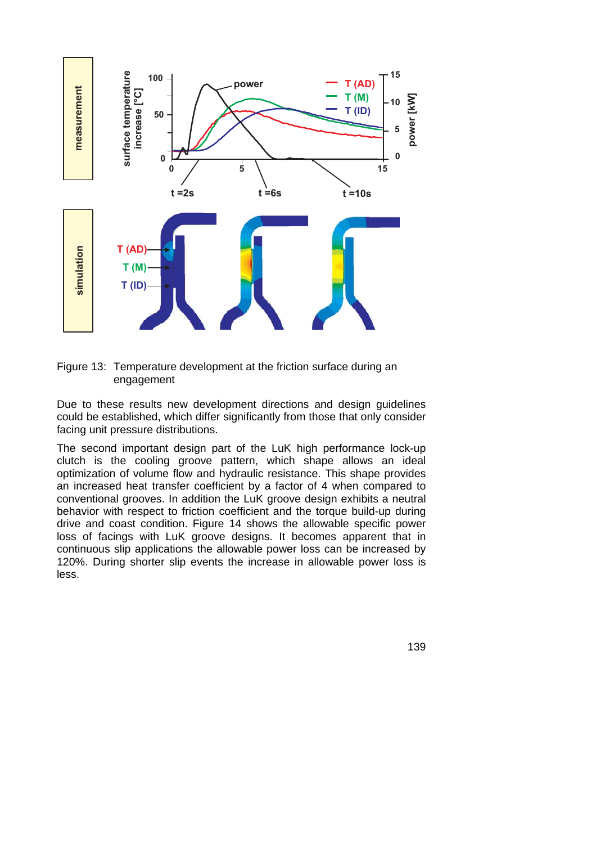



Due to these results new development directions and design guidelines could be established, which differ significantly from those that only consider facing unit pressure distributions.

The second important design part of the LuK high performance lock-up clutch is the cooling groove pattern, which shape allows an ideal optimization of volume flow and hydraulic resistance. This shape provides an increased heat transfer coefficient by a factor of 4 when compared to conventional grooves. In addition the LuK groove design exhibits a neutral behavior with respect to friction coefficient and the torque build-up during drive and coast condition. Figure 14 shows the allowable specific power loss of facings with LuK groove designs. It becomes apparent that in continuous slip applications the allowable power loss can be increased by 120%. During shorter slip events the increase in allowable power loss is less.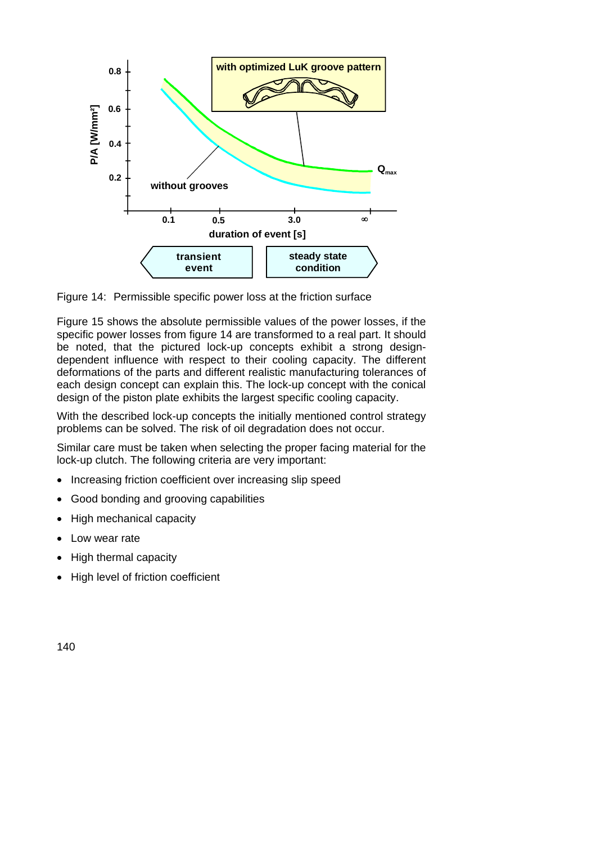

Figure 14: Permissible specific power loss at the friction surface

Figure 15 shows the absolute permissible values of the power losses, if the specific power losses from figure 14 are transformed to a real part. It should be noted, that the pictured lock-up concepts exhibit a strong designdependent influence with respect to their cooling capacity. The different deformations of the parts and different realistic manufacturing tolerances of each design concept can explain this. The lock-up concept with the conical design of the piston plate exhibits the largest specific cooling capacity.

With the described lock-up concepts the initially mentioned control strategy problems can be solved. The risk of oil degradation does not occur.

Similar care must be taken when selecting the proper facing material for the lock-up clutch. The following criteria are very important:

- Increasing friction coefficient over increasing slip speed
- Good bonding and grooving capabilities
- High mechanical capacity
- Low wear rate
- High thermal capacity
- High level of friction coefficient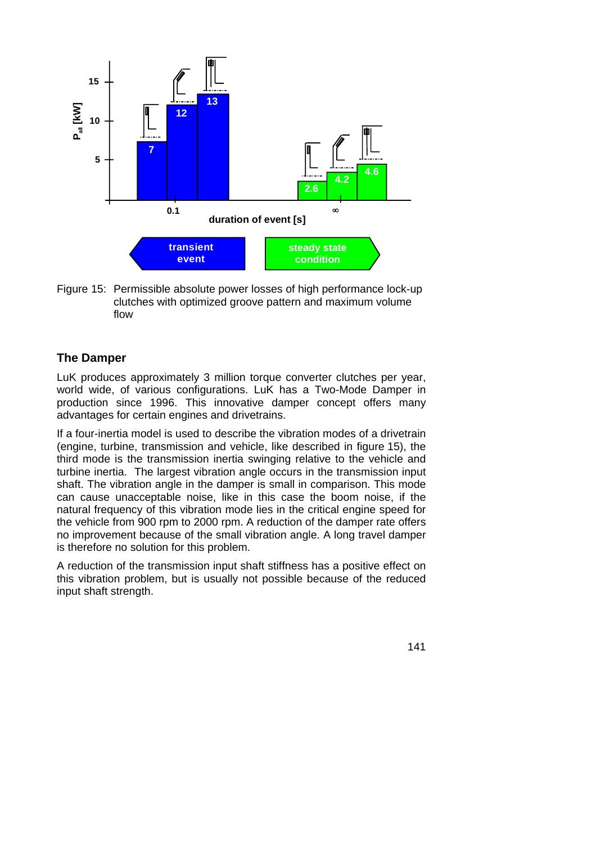

Figure 15: Permissible absolute power losses of high performance lock-up clutches with optimized groove pattern and maximum volume flow

### **The Damper**

LuK produces approximately 3 million torque converter clutches per year, world wide, of various configurations. LuK has a Two-Mode Damper in production since 1996. This innovative damper concept offers many advantages for certain engines and drivetrains.

If a four-inertia model is used to describe the vibration modes of a drivetrain (engine, turbine, transmission and vehicle, like described in figure 15), the third mode is the transmission inertia swinging relative to the vehicle and turbine inertia. The largest vibration angle occurs in the transmission input shaft. The vibration angle in the damper is small in comparison. This mode can cause unacceptable noise, like in this case the boom noise, if the natural frequency of this vibration mode lies in the critical engine speed for the vehicle from 900 rpm to 2000 rpm. A reduction of the damper rate offers no improvement because of the small vibration angle. A long travel damper is therefore no solution for this problem.

A reduction of the transmission input shaft stiffness has a positive effect on this vibration problem, but is usually not possible because of the reduced input shaft strength.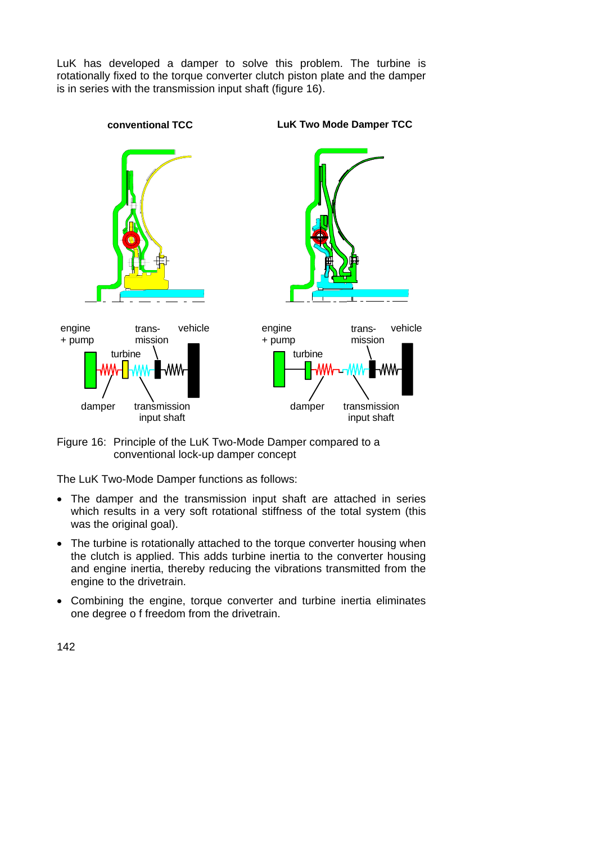LuK has developed a damper to solve this problem. The turbine is rotationally fixed to the torque converter clutch piston plate and the damper is in series with the transmission input shaft (figure 16).



Figure 16: Principle of the LuK Two-Mode Damper compared to a conventional lock-up damper concept

The LuK Two-Mode Damper functions as follows:

- The damper and the transmission input shaft are attached in series which results in a very soft rotational stiffness of the total system (this was the original goal).
- The turbine is rotationally attached to the torque converter housing when the clutch is applied. This adds turbine inertia to the converter housing and engine inertia, thereby reducing the vibrations transmitted from the engine to the drivetrain.
- Combining the engine, torque converter and turbine inertia eliminates one degree o f freedom from the drivetrain.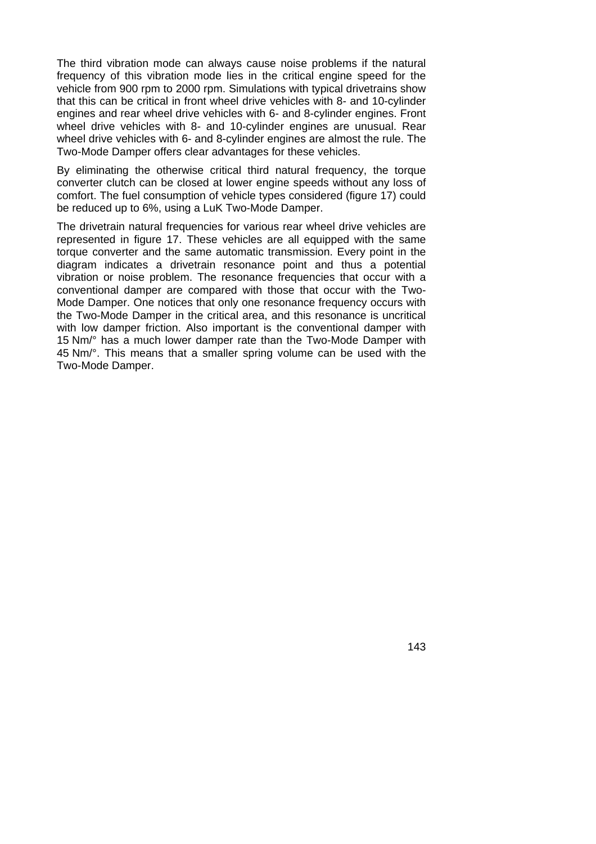The third vibration mode can always cause noise problems if the natural frequency of this vibration mode lies in the critical engine speed for the vehicle from 900 rpm to 2000 rpm. Simulations with typical drivetrains show that this can be critical in front wheel drive vehicles with 8- and 10-cylinder engines and rear wheel drive vehicles with 6- and 8-cylinder engines. Front wheel drive vehicles with 8- and 10-cylinder engines are unusual. Rear wheel drive vehicles with 6- and 8-cylinder engines are almost the rule. The Two-Mode Damper offers clear advantages for these vehicles.

By eliminating the otherwise critical third natural frequency, the torque converter clutch can be closed at lower engine speeds without any loss of comfort. The fuel consumption of vehicle types considered (figure 17) could be reduced up to 6%, using a LuK Two-Mode Damper.

The drivetrain natural frequencies for various rear wheel drive vehicles are represented in figure 17. These vehicles are all equipped with the same torque converter and the same automatic transmission. Every point in the diagram indicates a drivetrain resonance point and thus a potential vibration or noise problem. The resonance frequencies that occur with a conventional damper are compared with those that occur with the Two-Mode Damper. One notices that only one resonance frequency occurs with the Two-Mode Damper in the critical area, and this resonance is uncritical with low damper friction. Also important is the conventional damper with 15 Nm/° has a much lower damper rate than the Two-Mode Damper with 45 Nm/°. This means that a smaller spring volume can be used with the Two-Mode Damper.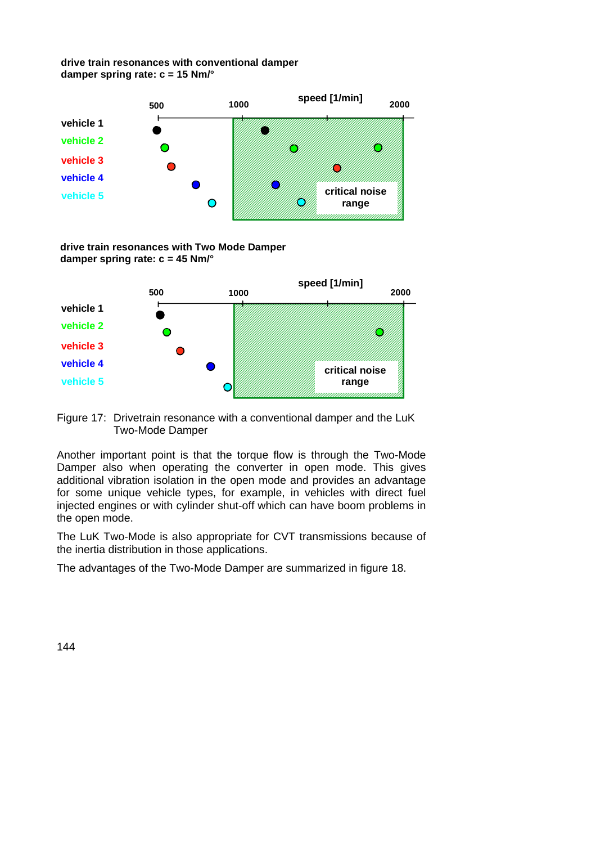#### **drive train resonances with conventional damper damper spring rate: c = 15 Nm/°**



**drive train resonances with Two Mode Damper damper spring rate: c = 45 Nm/°**





Another important point is that the torque flow is through the Two-Mode Damper also when operating the converter in open mode. This gives additional vibration isolation in the open mode and provides an advantage for some unique vehicle types, for example, in vehicles with direct fuel injected engines or with cylinder shut-off which can have boom problems in the open mode.

The LuK Two-Mode is also appropriate for CVT transmissions because of the inertia distribution in those applications.

The advantages of the Two-Mode Damper are summarized in figure 18.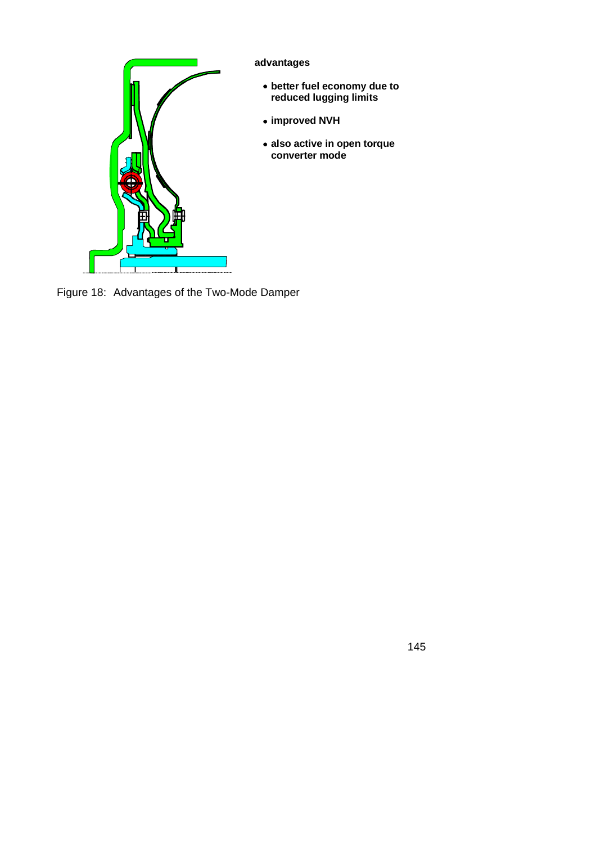

Figure 18: Advantages of the Two-Mode Damper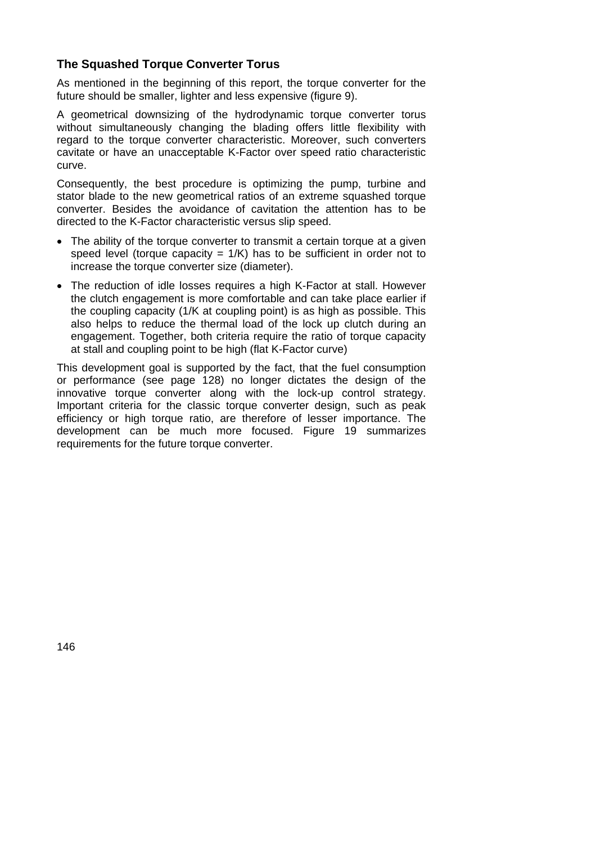### **The Squashed Torque Converter Torus**

As mentioned in the beginning of this report, the torque converter for the future should be smaller, lighter and less expensive (figure 9).

A geometrical downsizing of the hydrodynamic torque converter torus without simultaneously changing the blading offers little flexibility with regard to the torque converter characteristic. Moreover, such converters cavitate or have an unacceptable K-Factor over speed ratio characteristic curve.

Consequently, the best procedure is optimizing the pump, turbine and stator blade to the new geometrical ratios of an extreme squashed torque converter. Besides the avoidance of cavitation the attention has to be directed to the K-Factor characteristic versus slip speed.

- The ability of the torque converter to transmit a certain torque at a given speed level (torque capacity =  $1/K$ ) has to be sufficient in order not to increase the torque converter size (diameter).
- The reduction of idle losses requires a high K-Factor at stall. However the clutch engagement is more comfortable and can take place earlier if the coupling capacity (1/K at coupling point) is as high as possible. This also helps to reduce the thermal load of the lock up clutch during an engagement. Together, both criteria require the ratio of torque capacity at stall and coupling point to be high (flat K-Factor curve)

This development goal is supported by the fact, that the fuel consumption or performance (see page 128) no longer dictates the design of the innovative torque converter along with the lock-up control strategy. Important criteria for the classic torque converter design, such as peak efficiency or high torque ratio, are therefore of lesser importance. The development can be much more focused. Figure 19 summarizes requirements for the future torque converter.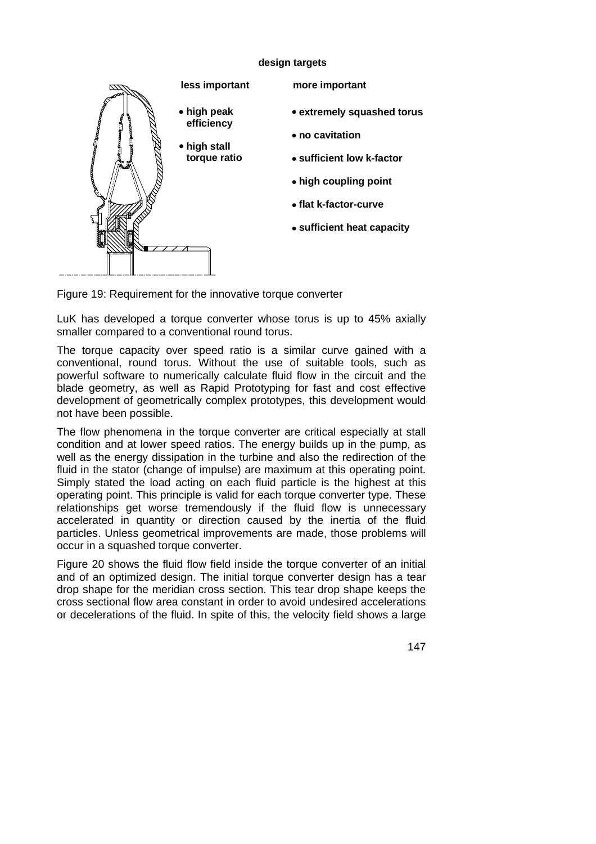#### **design targets**



Figure 19: Requirement for the innovative torque converter

LuK has developed a torque converter whose torus is up to 45% axially smaller compared to a conventional round torus.

The torque capacity over speed ratio is a similar curve gained with a conventional, round torus. Without the use of suitable tools, such as powerful software to numerically calculate fluid flow in the circuit and the blade geometry, as well as Rapid Prototyping for fast and cost effective development of geometrically complex prototypes, this development would not have been possible.

The flow phenomena in the torque converter are critical especially at stall condition and at lower speed ratios. The energy builds up in the pump, as well as the energy dissipation in the turbine and also the redirection of the fluid in the stator (change of impulse) are maximum at this operating point. Simply stated the load acting on each fluid particle is the highest at this operating point. This principle is valid for each torque converter type. These relationships get worse tremendously if the fluid flow is unnecessary accelerated in quantity or direction caused by the inertia of the fluid particles. Unless geometrical improvements are made, those problems will occur in a squashed torque converter.

Figure 20 shows the fluid flow field inside the torque converter of an initial and of an optimized design. The initial torque converter design has a tear drop shape for the meridian cross section. This tear drop shape keeps the cross sectional flow area constant in order to avoid undesired accelerations or decelerations of the fluid. In spite of this, the velocity field shows a large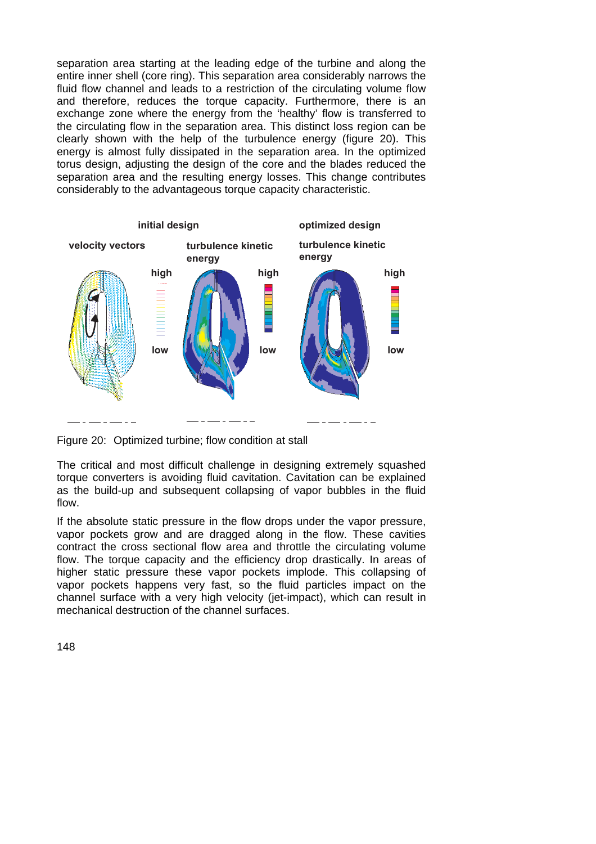separation area starting at the leading edge of the turbine and along the entire inner shell (core ring). This separation area considerably narrows the fluid flow channel and leads to a restriction of the circulating volume flow and therefore, reduces the torque capacity. Furthermore, there is an exchange zone where the energy from the 'healthy' flow is transferred to the circulating flow in the separation area. This distinct loss region can be clearly shown with the help of the turbulence energy (figure 20). This energy is almost fully dissipated in the separation area. In the optimized torus design, adjusting the design of the core and the blades reduced the separation area and the resulting energy losses. This change contributes considerably to the advantageous torque capacity characteristic.



Figure 20: Optimized turbine; flow condition at stall

The critical and most difficult challenge in designing extremely squashed torque converters is avoiding fluid cavitation. Cavitation can be explained as the build-up and subsequent collapsing of vapor bubbles in the fluid flow.

If the absolute static pressure in the flow drops under the vapor pressure, vapor pockets grow and are dragged along in the flow. These cavities contract the cross sectional flow area and throttle the circulating volume flow. The torque capacity and the efficiency drop drastically. In areas of higher static pressure these vapor pockets implode. This collapsing of vapor pockets happens very fast, so the fluid particles impact on the channel surface with a very high velocity (jet-impact), which can result in mechanical destruction of the channel surfaces.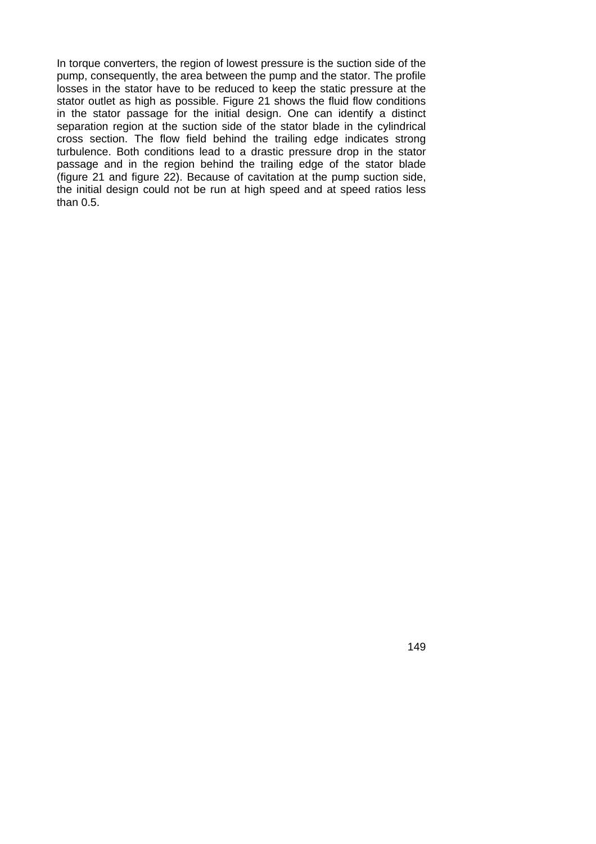In torque converters, the region of lowest pressure is the suction side of the pump, consequently, the area between the pump and the stator. The profile losses in the stator have to be reduced to keep the static pressure at the stator outlet as high as possible. Figure 21 shows the fluid flow conditions in the stator passage for the initial design. One can identify a distinct separation region at the suction side of the stator blade in the cylindrical cross section. The flow field behind the trailing edge indicates strong turbulence. Both conditions lead to a drastic pressure drop in the stator passage and in the region behind the trailing edge of the stator blade (figure 21 and figure 22). Because of cavitation at the pump suction side, the initial design could not be run at high speed and at speed ratios less than 0.5.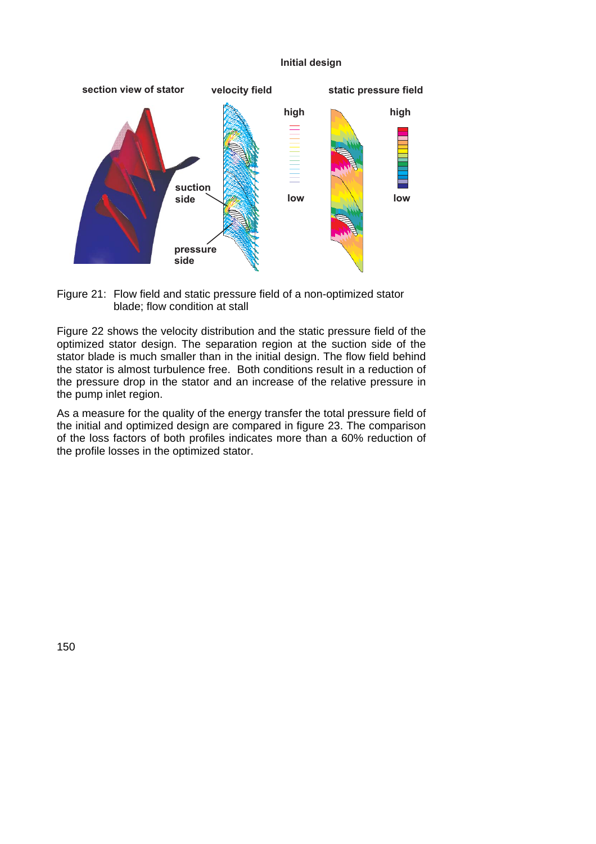#### **lnitial desig**



Figure 21: Flow field and static pressure field of a non-optimized stator blade; flow condition at stall

Figure 22 shows the velocity distribution and the static pressure field of the optimized stator design. The separation region at the suction side of the stator blade is much smaller than in the initial design. The flow field behind the stator is almost turbulence free. Both conditions result in a reduction of the pressure drop in the stator and an increase of the relative pressure in the pump inlet region.

As a measure for the quality of the energy transfer the total pressure field of the initial and optimized design are compared in figure 23. The comparison of the loss factors of both profiles indicates more than a 60% reduction of the profile losses in the optimized stator.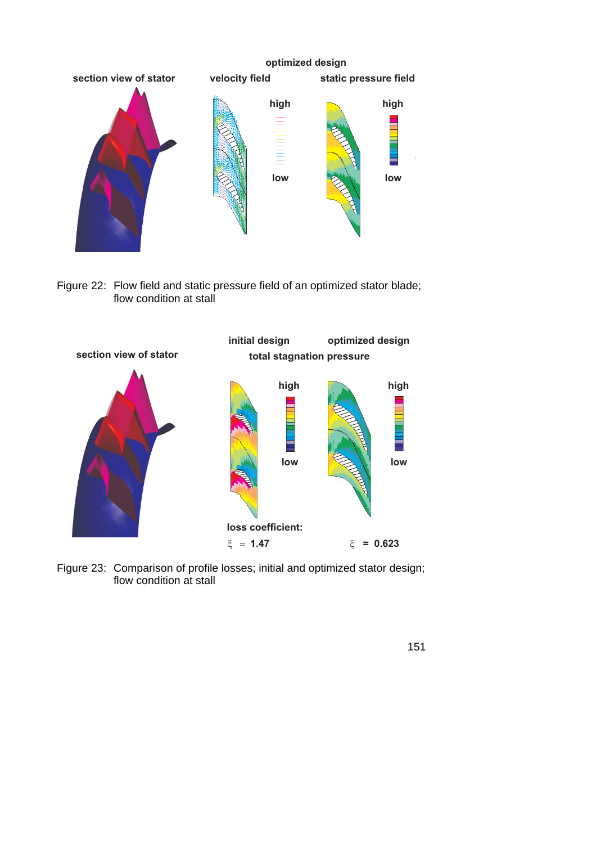

Figure 22: Flow field and static pressure field of an optimized stator blade; flow condition at stall



Figure 23: Comparison of profile losses; initial and optimized stator design; flow condition at stall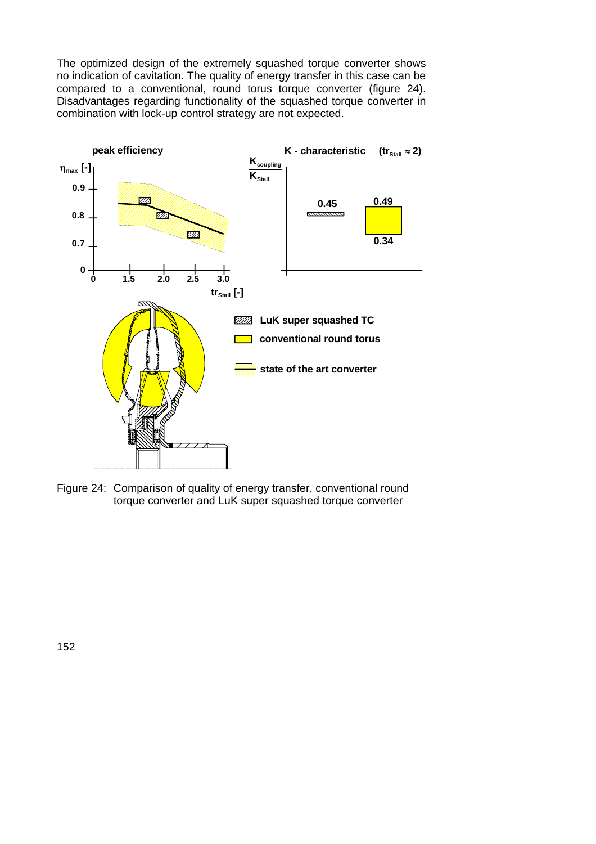The optimized design of the extremely squashed torque converter shows no indication of cavitation. The quality of energy transfer in this case can be compared to a conventional, round torus torque converter (figure 24). Disadvantages regarding functionality of the squashed torque converter in combination with lock-up control strategy are not expected.



Figure 24: Comparison of quality of energy transfer, conventional round torque converter and LuK super squashed torque converter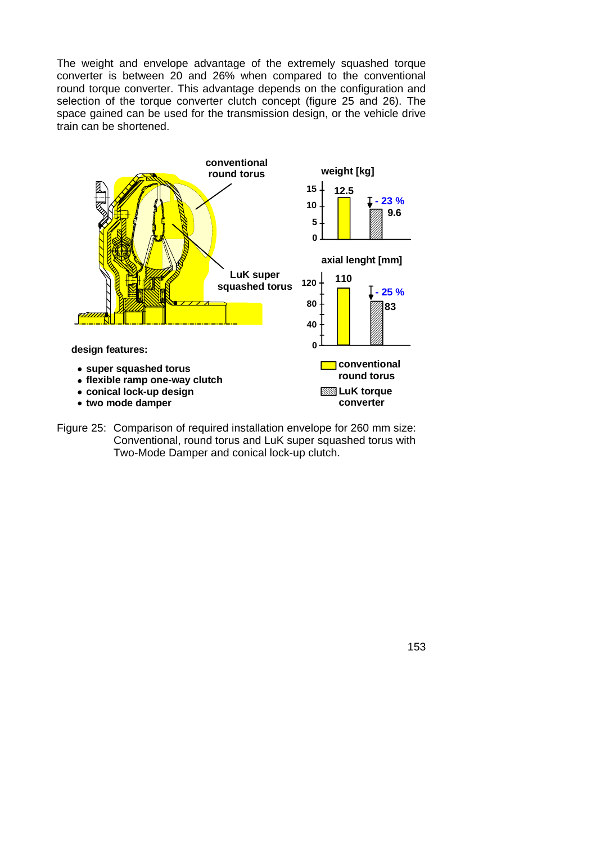The weight and envelope advantage of the extremely squashed torque converter is between 20 and 26% when compared to the conventional round torque converter. This advantage depends on the configuration and selection of the torque converter clutch concept (figure 25 and 26). The space gained can be used for the transmission design, or the vehicle drive train can be shortened.



Figure 25: Comparison of required installation envelope for 260 mm size: Conventional, round torus and LuK super squashed torus with Two-Mode Damper and conical lock-up clutch.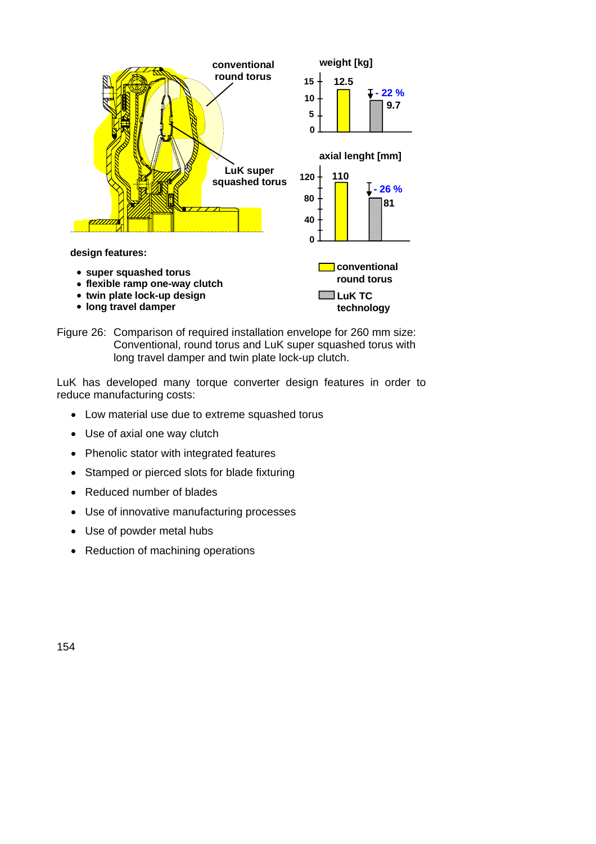

Figure 26: Comparison of required installation envelope for 260 mm size: Conventional, round torus and LuK super squashed torus with long travel damper and twin plate lock-up clutch.

LuK has developed many torque converter design features in order to reduce manufacturing costs:

- Low material use due to extreme squashed torus
- Use of axial one way clutch
- Phenolic stator with integrated features
- Stamped or pierced slots for blade fixturing
- Reduced number of blades
- Use of innovative manufacturing processes
- Use of powder metal hubs
- Reduction of machining operations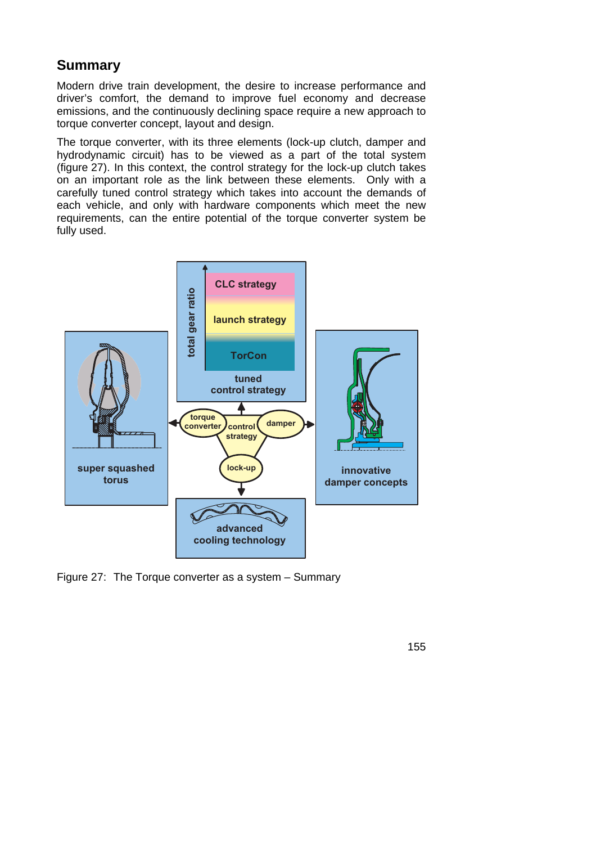## **Summary**

Modern drive train development, the desire to increase performance and driver's comfort, the demand to improve fuel economy and decrease emissions, and the continuously declining space require a new approach to torque converter concept, layout and design.

The torque converter, with its three elements (lock-up clutch, damper and hydrodynamic circuit) has to be viewed as a part of the total system (figure 27). In this context, the control strategy for the lock-up clutch takes on an important role as the link between these elements. Only with a carefully tuned control strategy which takes into account the demands of each vehicle, and only with hardware components which meet the new requirements, can the entire potential of the torque converter system be fully used.



Figure 27: The Torque converter as a system – Summary